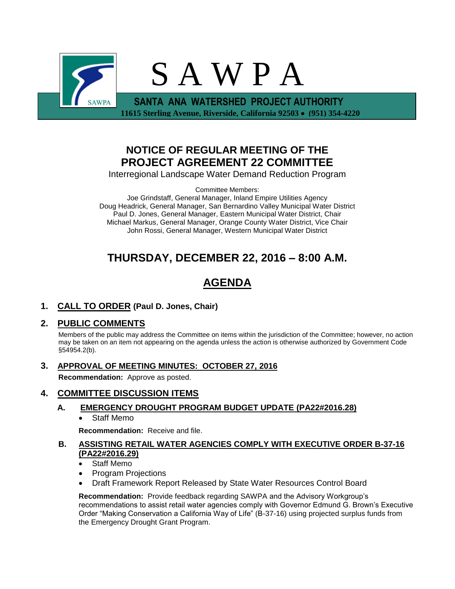

# **NOTICE OF REGULAR MEETING OF THE PROJECT AGREEMENT 22 COMMITTEE**

Interregional Landscape Water Demand Reduction Program

Committee Members:

Joe Grindstaff, General Manager, Inland Empire Utilities Agency Doug Headrick, General Manager, San Bernardino Valley Municipal Water District Paul D. Jones, General Manager, Eastern Municipal Water District, Chair Michael Markus, General Manager, Orange County Water District, Vice Chair John Rossi, General Manager, Western Municipal Water District

# **THURSDAY, DECEMBER 22, 2016 – 8:00 A.M.**

# **AGENDA**

**1. CALL TO ORDER (Paul D. Jones, Chair)** 

# **2. PUBLIC COMMENTS**

Members of the public may address the Committee on items within the jurisdiction of the Committee; however, no action may be taken on an item not appearing on the agenda unless the action is otherwise authorized by Government Code §54954.2(b).

**3. APPROVAL OF MEETING MINUTES: OCTOBER 27, 2016**

**Recommendation:** Approve as posted.

## **4. COMMITTEE DISCUSSION ITEMS**

## **A. EMERGENCY DROUGHT PROGRAM BUDGET UPDATE (PA22#2016.28)**

Staff Memo

**Recommendation:** Receive and file.

## **B. ASSISTING RETAIL WATER AGENCIES COMPLY WITH EXECUTIVE ORDER B-37-16 (PA22#2016.29)**

- Staff Memo
- Program Projections
- Draft Framework Report Released by State Water Resources Control Board

**Recommendation:** Provide feedback regarding SAWPA and the Advisory Workgroup's recommendations to assist retail water agencies comply with Governor Edmund G. Brown's Executive Order "Making Conservation a California Way of Life" (B-37-16) using projected surplus funds from the Emergency Drought Grant Program.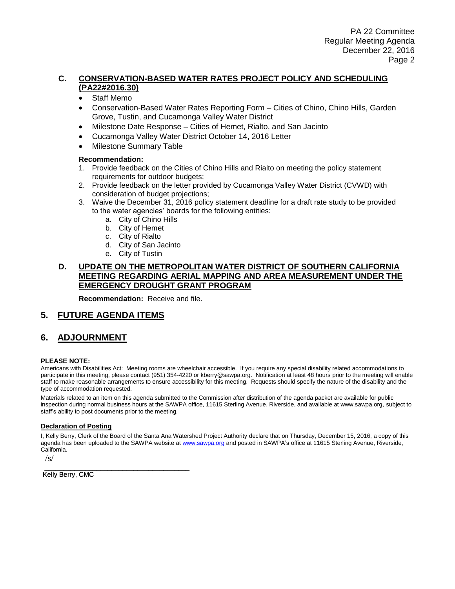### **C. CONSERVATION-BASED WATER RATES PROJECT POLICY AND SCHEDULING (PA22#2016.30)**

- Staff Memo
- Conservation-Based Water Rates Reporting Form Cities of Chino, Chino Hills, Garden Grove, Tustin, and Cucamonga Valley Water District
- Milestone Date Response Cities of Hemet, Rialto, and San Jacinto
- Cucamonga Valley Water District October 14, 2016 Letter
- Milestone Summary Table

#### **Recommendation:**

- 1. Provide feedback on the Cities of Chino Hills and Rialto on meeting the policy statement requirements for outdoor budgets;
- 2. Provide feedback on the letter provided by Cucamonga Valley Water District (CVWD) with consideration of budget projections;
- 3. Waive the December 31, 2016 policy statement deadline for a draft rate study to be provided to the water agencies' boards for the following entities:
	- a. City of Chino Hills
	- b. City of Hemet
	- c. City of Rialto
	- d. City of San Jacinto
	- e. City of Tustin

### **D. UPDATE ON THE METROPOLITAN WATER DISTRICT OF SOUTHERN CALIFORNIA MEETING REGARDING AERIAL MAPPING AND AREA MEASUREMENT UNDER THE EMERGENCY DROUGHT GRANT PROGRAM**

**Recommendation:** Receive and file.

## **5. FUTURE AGENDA ITEMS**

## **6. ADJOURNMENT**

#### **PLEASE NOTE:**

Americans with Disabilities Act: Meeting rooms are wheelchair accessible. If you require any special disability related accommodations to participate in this meeting, please contact (951) 354-4220 or kberry@sawpa.org. Notification at least 48 hours prior to the meeting will enable staff to make reasonable arrangements to ensure accessibility for this meeting. Requests should specify the nature of the disability and the type of accommodation requested.

Materials related to an item on this agenda submitted to the Commission after distribution of the agenda packet are available for public inspection during normal business hours at the SAWPA office, 11615 Sterling Avenue, Riverside, and available at www.sawpa.org, subject to staff's ability to post documents prior to the meeting.

#### **Declaration of Posting**

I, Kelly Berry, Clerk of the Board of the Santa Ana Watershed Project Authority declare that on Thursday, December 15, 2016, a copy of this agenda has been uploaded to the SAWPA website a[t www.sawpa.org](http://www.sawpa.org/) and posted in SAWPA's office at 11615 Sterling Avenue, Riverside, California.

/s/

\_\_\_\_\_\_\_\_\_\_\_\_\_\_\_\_\_\_\_\_\_\_\_\_\_\_\_\_\_\_\_\_\_\_\_\_\_\_\_ Kelly Berry, CMC